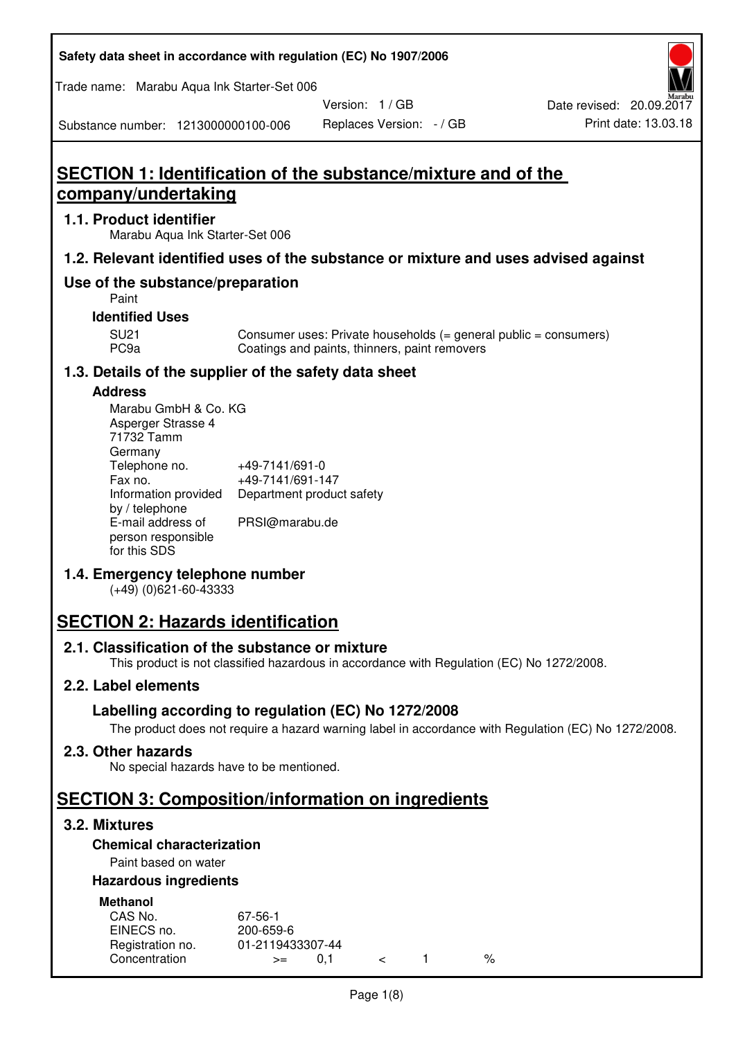| Safety data sheet in accordance with regulation (EC) No 1907/2006 |  |
|-------------------------------------------------------------------|--|
|-------------------------------------------------------------------|--|

Trade name: Marabu Aqua Ink Starter-Set 006

Version: 1 / GB

Substance number: 1213000000100-006

# **SECTION 1: Identification of the substance/mixture and of the company/undertaking**

### **1.1. Product identifier**

Marabu Aqua Ink Starter-Set 006

## **1.2. Relevant identified uses of the substance or mixture and uses advised against**

# **Use of the substance/preparation**

Paint

### **Identified Uses**

SU21 Consumer uses: Private households (= general public = consumers)<br>PC9a Coatings and paints, thinners, paint removers Coatings and paints, thinners, paint removers

# **1.3. Details of the supplier of the safety data sheet**

### **Address**

| Marabu GmbH & Co. KG |                           |
|----------------------|---------------------------|
| Asperger Strasse 4   |                           |
| 71732 Tamm           |                           |
| Germany              |                           |
| Telephone no.        | +49-7141/691-0            |
| Fax no.              | +49-7141/691-147          |
| Information provided | Department product safety |
| by / telephone       |                           |
| E-mail address of    | PRSI@marabu.de            |
| person responsible   |                           |
| for this SDS         |                           |

# **1.4. Emergency telephone number**

(+49) (0)621-60-43333

# **SECTION 2: Hazards identification**

#### **2.1. Classification of the substance or mixture**

This product is not classified hazardous in accordance with Regulation (EC) No 1272/2008.

# **2.2. Label elements**

# **Labelling according to regulation (EC) No 1272/2008**

The product does not require a hazard warning label in accordance with Regulation (EC) No 1272/2008.

#### **2.3. Other hazards**

No special hazards have to be mentioned.

# **SECTION 3: Composition/information on ingredients**

# **3.2. Mixtures**

# **Chemical characterization**

# Paint based on water

## **Hazardous ingredients**

| <b>Methanol</b>  |                  |  |   |
|------------------|------------------|--|---|
| CAS No.          | 67-56-1          |  |   |
| EINECS no.       | 200-659-6        |  |   |
| Registration no. | 01-2119433307-44 |  |   |
| Concentration    | O 1<br>$>=$      |  | % |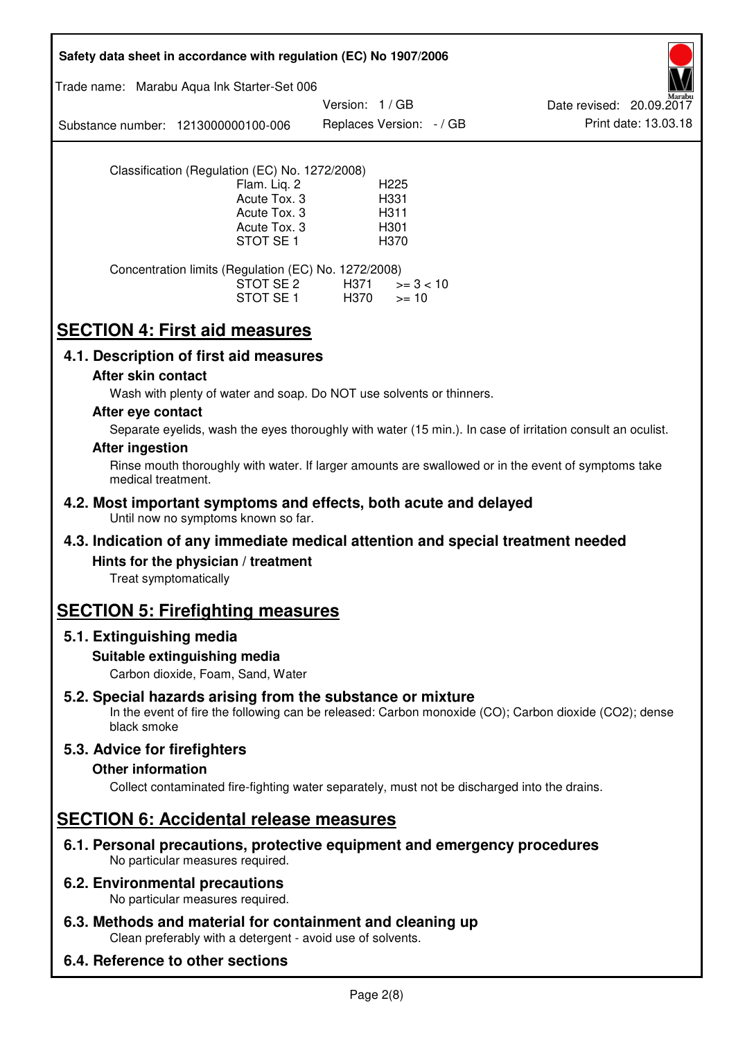| Safety data sheet in accordance with regulation (EC) No 1907/2006                                                                                                                                      |  |  |
|--------------------------------------------------------------------------------------------------------------------------------------------------------------------------------------------------------|--|--|
| Trade name: Marabu Aqua Ink Starter-Set 006                                                                                                                                                            |  |  |
| Version: 1/GB<br>Date revised: 20.09.2017<br>Print date: 13.03.18<br>Replaces Version: - / GB<br>Substance number: 1213000000100-006                                                                   |  |  |
| Classification (Regulation (EC) No. 1272/2008)<br>Flam. Liq. 2<br>H <sub>225</sub><br>Acute Tox. 3<br>H331<br>Acute Tox. 3<br>H311<br>Acute Tox. 3<br>H <sub>301</sub><br>STOT SE <sub>1</sub><br>H370 |  |  |
| Concentration limits (Regulation (EC) No. 1272/2008)<br>STOT SE 2<br>H371<br>$>= 3 < 10$<br>STOT SE 1<br>H370<br>$>= 10$                                                                               |  |  |
| <b>SECTION 4: First aid measures</b>                                                                                                                                                                   |  |  |
| 4.1. Description of first aid measures                                                                                                                                                                 |  |  |
| After skin contact<br>Wash with plenty of water and soap. Do NOT use solvents or thinners.                                                                                                             |  |  |
| After eye contact<br>Separate eyelids, wash the eyes thoroughly with water (15 min.). In case of irritation consult an oculist.                                                                        |  |  |
| <b>After ingestion</b><br>Rinse mouth thoroughly with water. If larger amounts are swallowed or in the event of symptoms take<br>medical treatment.                                                    |  |  |
| 4.2. Most important symptoms and effects, both acute and delayed<br>Until now no symptoms known so far.                                                                                                |  |  |
| 4.3. Indication of any immediate medical attention and special treatment needed                                                                                                                        |  |  |
| Hints for the physician / treatment<br>Treat symptomatically                                                                                                                                           |  |  |
| <b>SECTION 5: Firefighting measures</b>                                                                                                                                                                |  |  |
| 5.1. Extinguishing media                                                                                                                                                                               |  |  |
| Suitable extinguishing media<br>Carbon dioxide, Foam, Sand, Water                                                                                                                                      |  |  |
| 5.2. Special hazards arising from the substance or mixture<br>In the event of fire the following can be released: Carbon monoxide (CO); Carbon dioxide (CO2); dense<br>black smoke                     |  |  |
| 5.3. Advice for firefighters<br><b>Other information</b><br>Collect contaminated fire-fighting water separately, must not be discharged into the drains.                                               |  |  |
| <b>SECTION 6: Accidental release measures</b>                                                                                                                                                          |  |  |
| 6.1. Personal precautions, protective equipment and emergency procedures<br>No particular measures required.                                                                                           |  |  |
| <b>6.2. Environmental precautions</b><br>No particular measures required.                                                                                                                              |  |  |
| 6.3. Methods and material for containment and cleaning up<br>Clean preferably with a detergent - avoid use of solvents.                                                                                |  |  |
| 6.4. Reference to other sections                                                                                                                                                                       |  |  |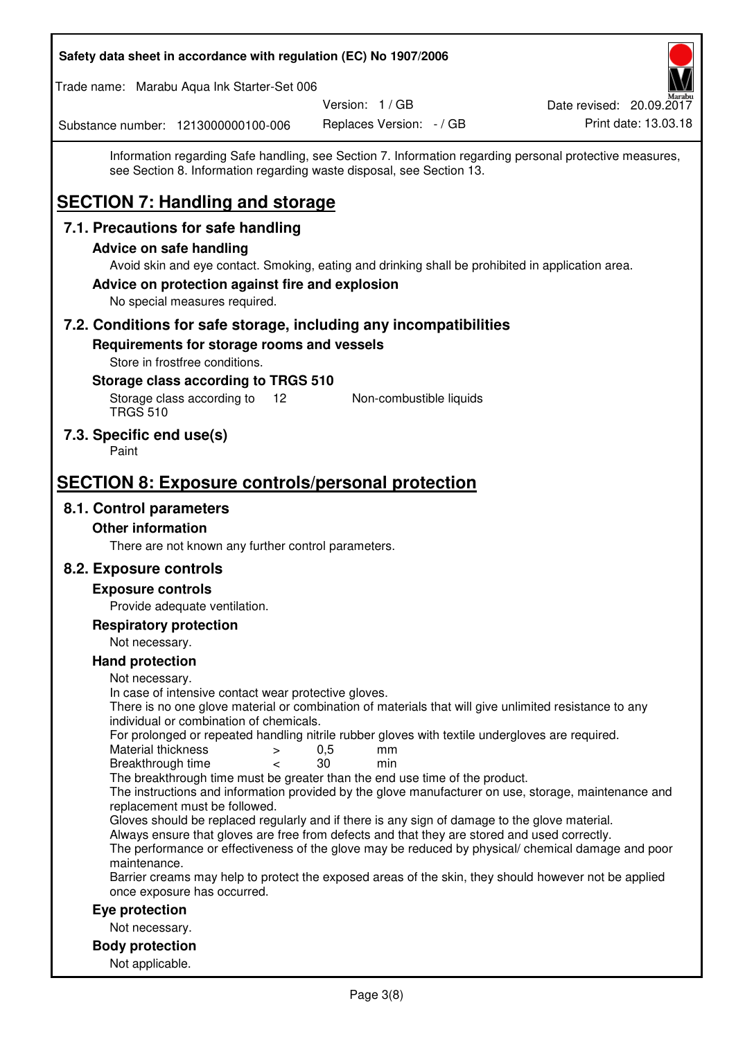| Safety data sheet in accordance with regulation (EC) No 1907/2006                                                                                                                             |                          |                                                  |
|-----------------------------------------------------------------------------------------------------------------------------------------------------------------------------------------------|--------------------------|--------------------------------------------------|
| Trade name: Marabu Aqua Ink Starter-Set 006                                                                                                                                                   | Version: 1 / GB          |                                                  |
| Substance number: 1213000000100-006                                                                                                                                                           | Replaces Version: - / GB | Date revised: 20.09.2017<br>Print date: 13.03.18 |
| Information regarding Safe handling, see Section 7. Information regarding personal protective measures,<br>see Section 8. Information regarding waste disposal, see Section 13.               |                          |                                                  |
| <b>SECTION 7: Handling and storage</b>                                                                                                                                                        |                          |                                                  |
| 7.1. Precautions for safe handling                                                                                                                                                            |                          |                                                  |
| <b>Advice on safe handling</b>                                                                                                                                                                |                          |                                                  |
| Avoid skin and eye contact. Smoking, eating and drinking shall be prohibited in application area.                                                                                             |                          |                                                  |
| Advice on protection against fire and explosion<br>No special measures required.                                                                                                              |                          |                                                  |
| 7.2. Conditions for safe storage, including any incompatibilities                                                                                                                             |                          |                                                  |
| Requirements for storage rooms and vessels                                                                                                                                                    |                          |                                                  |
| Store in frostfree conditions.                                                                                                                                                                |                          |                                                  |
| Storage class according to TRGS 510<br>Storage class according to<br>12<br><b>TRGS 510</b>                                                                                                    | Non-combustible liquids  |                                                  |
| 7.3. Specific end use(s)<br>Paint                                                                                                                                                             |                          |                                                  |
| <b>SECTION 8: Exposure controls/personal protection</b>                                                                                                                                       |                          |                                                  |
| 8.1. Control parameters                                                                                                                                                                       |                          |                                                  |
| <b>Other information</b>                                                                                                                                                                      |                          |                                                  |
| There are not known any further control parameters.                                                                                                                                           |                          |                                                  |
| 8.2. Exposure controls                                                                                                                                                                        |                          |                                                  |
| <b>Exposure controls</b>                                                                                                                                                                      |                          |                                                  |
| Provide adequate ventilation.                                                                                                                                                                 |                          |                                                  |
| <b>Respiratory protection</b>                                                                                                                                                                 |                          |                                                  |
| Not necessary.<br><b>Hand protection</b>                                                                                                                                                      |                          |                                                  |
| Not necessary.                                                                                                                                                                                |                          |                                                  |
| In case of intensive contact wear protective gloves.<br>There is no one glove material or combination of materials that will give unlimited resistance to any                                 |                          |                                                  |
| individual or combination of chemicals.<br>For prolonged or repeated handling nitrile rubber gloves with textile undergloves are required.<br>Material thickness<br>$\, > \,$                 | 0,5<br>mm                |                                                  |
| Breakthrough time<br>$\,<\,$                                                                                                                                                                  | 30<br>min                |                                                  |
| The breakthrough time must be greater than the end use time of the product.<br>The instructions and information provided by the glove manufacturer on use, storage, maintenance and           |                          |                                                  |
| replacement must be followed.                                                                                                                                                                 |                          |                                                  |
| Gloves should be replaced regularly and if there is any sign of damage to the glove material.<br>Always ensure that gloves are free from defects and that they are stored and used correctly. |                          |                                                  |
| The performance or effectiveness of the glove may be reduced by physical/ chemical damage and poor                                                                                            |                          |                                                  |
| maintenance.<br>Barrier creams may help to protect the exposed areas of the skin, they should however not be applied                                                                          |                          |                                                  |
| once exposure has occurred.                                                                                                                                                                   |                          |                                                  |
| Eye protection                                                                                                                                                                                |                          |                                                  |
| Not necessary.                                                                                                                                                                                |                          |                                                  |
| <b>Body protection</b><br>Not applicable.                                                                                                                                                     |                          |                                                  |
|                                                                                                                                                                                               |                          |                                                  |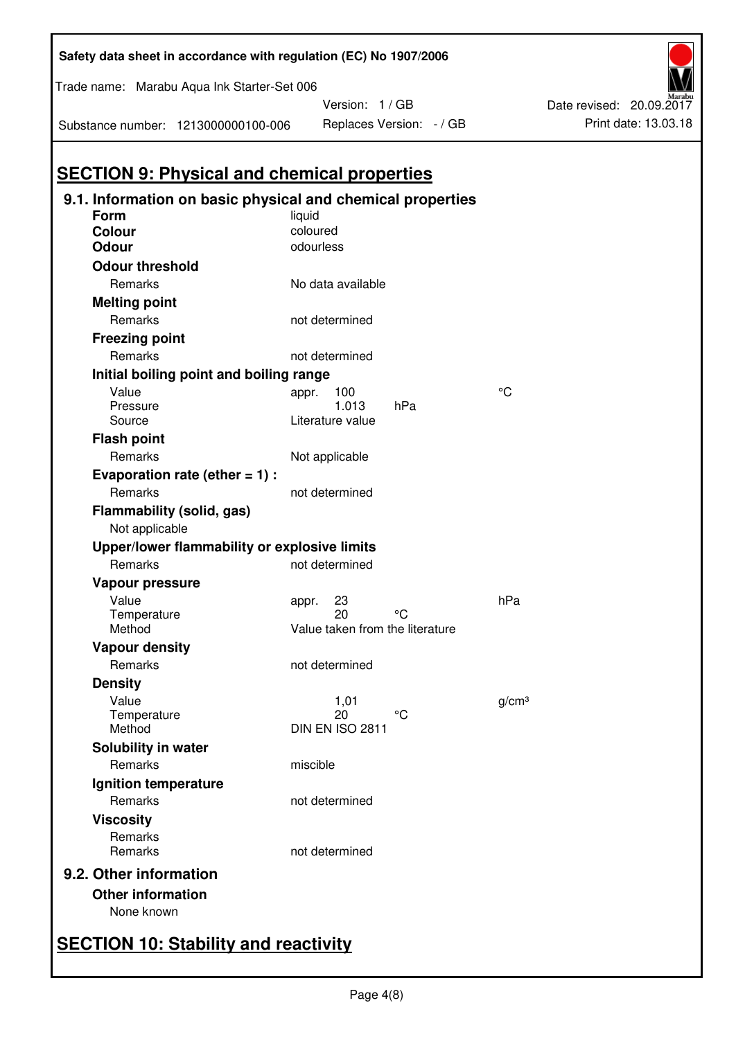| Trade name: Marabu Aqua Ink Starter-Set 006        |                                                            |           |                                       |     |    |                   |
|----------------------------------------------------|------------------------------------------------------------|-----------|---------------------------------------|-----|----|-------------------|
|                                                    |                                                            |           | Version: 1 / GB                       |     |    |                   |
| Substance number: 1213000000100-006                |                                                            |           | Replaces Version: - / GB              |     |    |                   |
|                                                    |                                                            |           |                                       |     |    |                   |
| <b>SECTION 9: Physical and chemical properties</b> |                                                            |           |                                       |     |    |                   |
|                                                    | 9.1. Information on basic physical and chemical properties |           |                                       |     |    |                   |
| Form                                               |                                                            | liquid    |                                       |     |    |                   |
| <b>Colour</b>                                      |                                                            | coloured  |                                       |     |    |                   |
| <b>Odour</b>                                       |                                                            | odourless |                                       |     |    |                   |
| <b>Odour threshold</b>                             |                                                            |           |                                       |     |    |                   |
| Remarks                                            |                                                            |           | No data available                     |     |    |                   |
| <b>Melting point</b>                               |                                                            |           |                                       |     |    |                   |
| Remarks                                            |                                                            |           | not determined                        |     |    |                   |
| <b>Freezing point</b>                              |                                                            |           |                                       |     |    |                   |
| Remarks                                            |                                                            |           | not determined                        |     |    |                   |
|                                                    | Initial boiling point and boiling range                    |           |                                       |     |    |                   |
| Value                                              |                                                            | appr.     | 100                                   |     | °C |                   |
| Pressure                                           |                                                            |           | 1.013                                 | hPa |    |                   |
| Source                                             |                                                            |           | Literature value                      |     |    |                   |
| <b>Flash point</b>                                 |                                                            |           |                                       |     |    |                   |
| Remarks                                            |                                                            |           | Not applicable                        |     |    |                   |
|                                                    | Evaporation rate (ether $= 1$ ) :                          |           |                                       |     |    |                   |
| Remarks                                            |                                                            |           | not determined                        |     |    |                   |
| Flammability (solid, gas)                          |                                                            |           |                                       |     |    |                   |
| Not applicable                                     |                                                            |           |                                       |     |    |                   |
|                                                    | Upper/lower flammability or explosive limits               |           |                                       |     |    |                   |
| Remarks                                            |                                                            |           | not determined                        |     |    |                   |
| Vapour pressure                                    |                                                            |           |                                       |     |    |                   |
| Value                                              |                                                            | appr.     | 23                                    |     |    | hPa               |
| Temperature<br>Method                              |                                                            |           | 20<br>Value taken from the literature | °C  |    |                   |
| <b>Vapour density</b>                              |                                                            |           |                                       |     |    |                   |
| Remarks                                            |                                                            |           | not determined                        |     |    |                   |
|                                                    |                                                            |           |                                       |     |    |                   |
| <b>Density</b>                                     |                                                            |           |                                       |     |    |                   |
| Value<br>Temperature                               |                                                            |           | 1,01<br>20                            | °C  |    | g/cm <sup>3</sup> |
| Method                                             |                                                            |           | <b>DIN EN ISO 2811</b>                |     |    |                   |
| <b>Solubility in water</b>                         |                                                            |           |                                       |     |    |                   |
| Remarks                                            |                                                            | miscible  |                                       |     |    |                   |
| Ignition temperature                               |                                                            |           |                                       |     |    |                   |
| <b>Remarks</b>                                     |                                                            |           | not determined                        |     |    |                   |
| <b>Viscosity</b>                                   |                                                            |           |                                       |     |    |                   |
| Remarks                                            |                                                            |           |                                       |     |    |                   |
| Remarks                                            |                                                            |           | not determined                        |     |    |                   |
| 9.2. Other information                             |                                                            |           |                                       |     |    |                   |
| <b>Other information</b>                           |                                                            |           |                                       |     |    |                   |
| None known                                         |                                                            |           |                                       |     |    |                   |
|                                                    |                                                            |           |                                       |     |    |                   |
|                                                    |                                                            |           |                                       |     |    |                   |

**Safety data sheet in accordance with regulation (EC) No 1907/2006** 

Print date: 13.03.18

Date revised: 20.09.2017

# **SECTION 10: Stability and reactivity**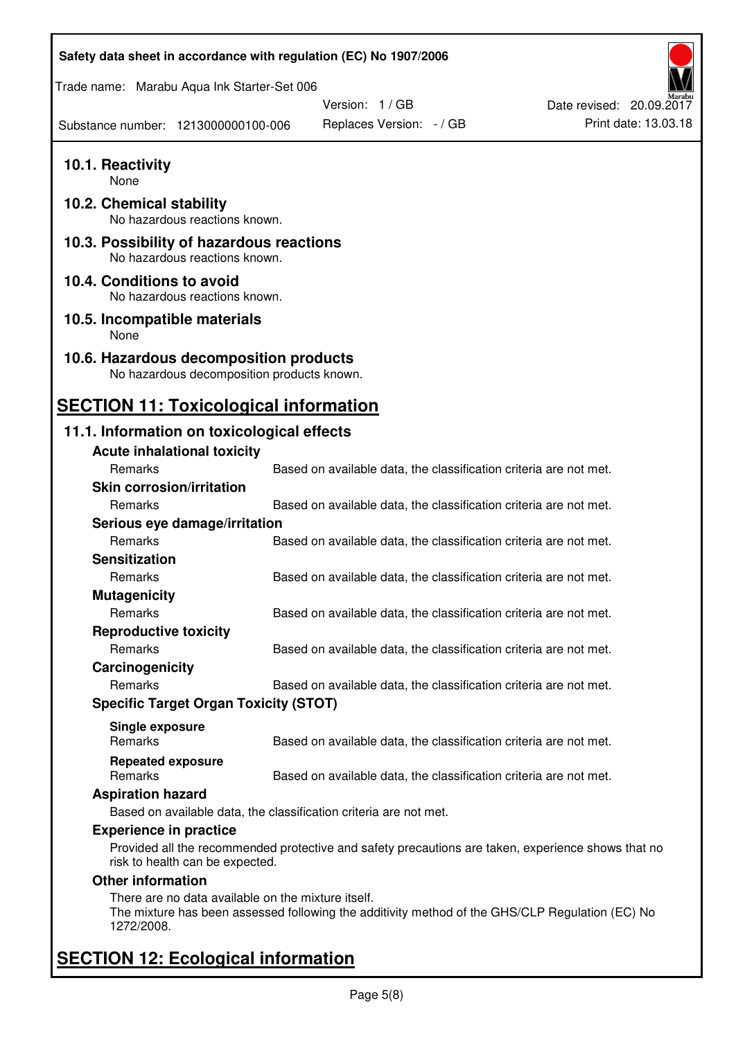| Safety data sheet in accordance with regulation (EC) No 1907/2006                                                                                                   |                          |                                                                   |                          |
|---------------------------------------------------------------------------------------------------------------------------------------------------------------------|--------------------------|-------------------------------------------------------------------|--------------------------|
| Trade name: Marabu Aqua Ink Starter-Set 006                                                                                                                         |                          |                                                                   |                          |
|                                                                                                                                                                     | Version: 1/GB            |                                                                   | Date revised: 20.09.2017 |
| Substance number: 1213000000100-006                                                                                                                                 | Replaces Version: - / GB |                                                                   | Print date: 13.03.18     |
| 10.1. Reactivity<br>None                                                                                                                                            |                          |                                                                   |                          |
| 10.2. Chemical stability<br>No hazardous reactions known.                                                                                                           |                          |                                                                   |                          |
| 10.3. Possibility of hazardous reactions<br>No hazardous reactions known.                                                                                           |                          |                                                                   |                          |
| 10.4. Conditions to avoid<br>No hazardous reactions known.                                                                                                          |                          |                                                                   |                          |
| 10.5. Incompatible materials<br>None                                                                                                                                |                          |                                                                   |                          |
| 10.6. Hazardous decomposition products<br>No hazardous decomposition products known.                                                                                |                          |                                                                   |                          |
| <b>SECTION 11: Toxicological information</b>                                                                                                                        |                          |                                                                   |                          |
| 11.1. Information on toxicological effects                                                                                                                          |                          |                                                                   |                          |
| <b>Acute inhalational toxicity</b>                                                                                                                                  |                          |                                                                   |                          |
| Remarks                                                                                                                                                             |                          | Based on available data, the classification criteria are not met. |                          |
| <b>Skin corrosion/irritation</b>                                                                                                                                    |                          |                                                                   |                          |
| Remarks                                                                                                                                                             |                          | Based on available data, the classification criteria are not met. |                          |
| Serious eye damage/irritation                                                                                                                                       |                          |                                                                   |                          |
| Remarks                                                                                                                                                             |                          | Based on available data, the classification criteria are not met. |                          |
| <b>Sensitization</b>                                                                                                                                                |                          |                                                                   |                          |
| Remarks                                                                                                                                                             |                          | Based on available data, the classification criteria are not met. |                          |
| <b>Mutagenicity</b>                                                                                                                                                 |                          |                                                                   |                          |
| Remarks                                                                                                                                                             |                          | Based on available data, the classification criteria are not met. |                          |
| <b>Reproductive toxicity</b>                                                                                                                                        |                          |                                                                   |                          |
| Remarks                                                                                                                                                             |                          | Based on available data, the classification criteria are not met. |                          |
| Carcinogenicity                                                                                                                                                     |                          |                                                                   |                          |
| Remarks                                                                                                                                                             |                          | Based on available data, the classification criteria are not met. |                          |
| <b>Specific Target Organ Toxicity (STOT)</b>                                                                                                                        |                          |                                                                   |                          |
| Single exposure                                                                                                                                                     |                          |                                                                   |                          |
| Remarks                                                                                                                                                             |                          | Based on available data, the classification criteria are not met. |                          |
| <b>Repeated exposure</b><br>Remarks                                                                                                                                 |                          | Based on available data, the classification criteria are not met. |                          |
| <b>Aspiration hazard</b>                                                                                                                                            |                          |                                                                   |                          |
| Based on available data, the classification criteria are not met.                                                                                                   |                          |                                                                   |                          |
| <b>Experience in practice</b>                                                                                                                                       |                          |                                                                   |                          |
| Provided all the recommended protective and safety precautions are taken, experience shows that no<br>risk to health can be expected.                               |                          |                                                                   |                          |
| <b>Other information</b>                                                                                                                                            |                          |                                                                   |                          |
| There are no data available on the mixture itself.<br>The mixture has been assessed following the additivity method of the GHS/CLP Regulation (EC) No<br>1272/2008. |                          |                                                                   |                          |
| <b>SECTION 12: Ecological information</b>                                                                                                                           |                          |                                                                   |                          |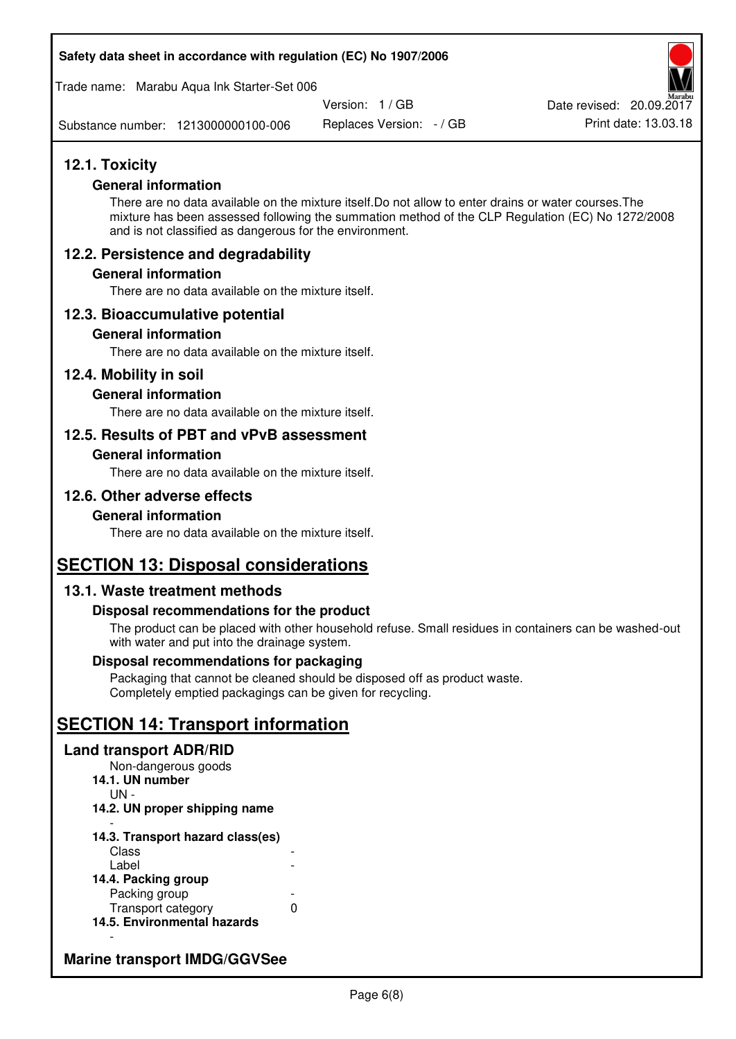#### **Safety data sheet in accordance with regulation (EC) No 1907/2006**

Trade name: Marabu Aqua Ink Starter-Set 006

Version: 1 / GB

Replaces Version: - / GB Print date: 13.03.18 Date revised: 20.09.2017

Substance number: 1213000000100-006

# **12.1. Toxicity**

### **General information**

There are no data available on the mixture itself.Do not allow to enter drains or water courses.The mixture has been assessed following the summation method of the CLP Regulation (EC) No 1272/2008 and is not classified as dangerous for the environment.

# **12.2. Persistence and degradability**

### **General information**

There are no data available on the mixture itself.

# **12.3. Bioaccumulative potential**

#### **General information**

There are no data available on the mixture itself.

### **12.4. Mobility in soil**

### **General information**

There are no data available on the mixture itself.

# **12.5. Results of PBT and vPvB assessment**

#### **General information**

There are no data available on the mixture itself.

# **12.6. Other adverse effects**

#### **General information**

There are no data available on the mixture itself.

# **SECTION 13: Disposal considerations**

# **13.1. Waste treatment methods**

#### **Disposal recommendations for the product**

The product can be placed with other household refuse. Small residues in containers can be washed-out with water and put into the drainage system.

#### **Disposal recommendations for packaging**

Packaging that cannot be cleaned should be disposed off as product waste. Completely emptied packagings can be given for recycling.

# **SECTION 14: Transport information**

#### **Land transport ADR/RID**

Non-dangerous goods **14.1. UN number**  UN - **14.2. UN proper shipping name**  -

#### **14.3. Transport hazard class(es) Class** Label

| 14.4. Packing group         |   |
|-----------------------------|---|
| Packing group               |   |
| Transport category          | O |
| 14.5. Environmental hazards |   |

# **Marine transport IMDG/GGVSee**

-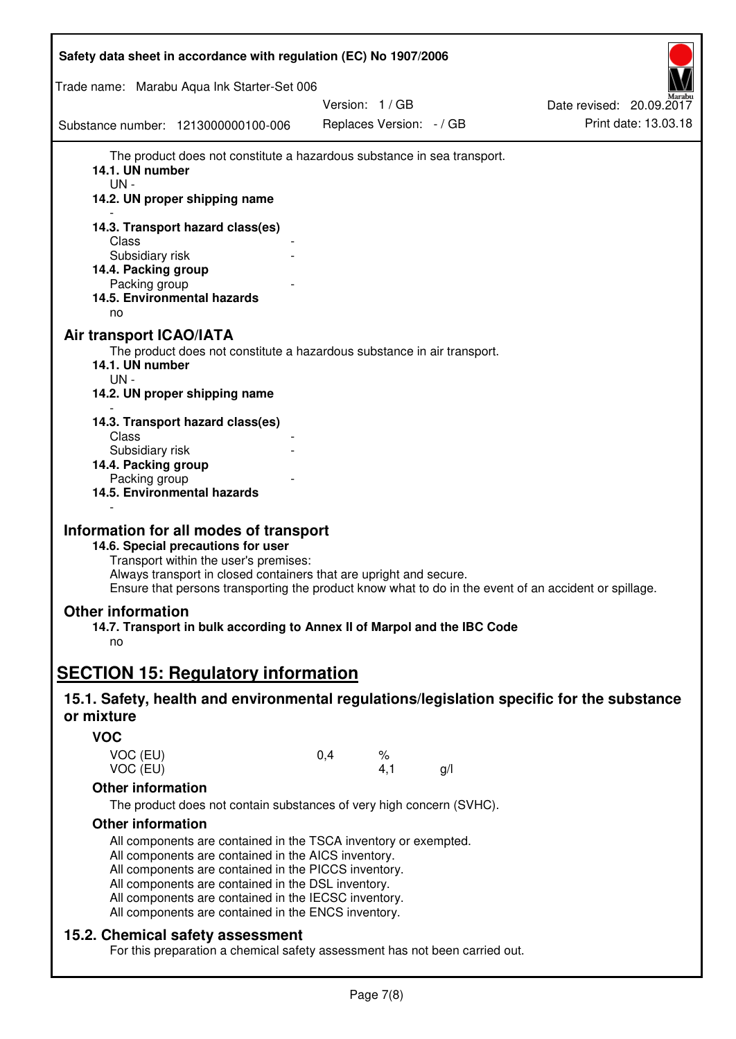| Safety data sheet in accordance with regulation (EC) No 1907/2006                                                                                                                                                                                                                                                                                                                                                                                |               |                          |                          |
|--------------------------------------------------------------------------------------------------------------------------------------------------------------------------------------------------------------------------------------------------------------------------------------------------------------------------------------------------------------------------------------------------------------------------------------------------|---------------|--------------------------|--------------------------|
| Trade name: Marabu Aqua Ink Starter-Set 006                                                                                                                                                                                                                                                                                                                                                                                                      |               |                          |                          |
|                                                                                                                                                                                                                                                                                                                                                                                                                                                  | Version: 1/GB |                          | Date revised: 20.09.2017 |
| Substance number: 1213000000100-006                                                                                                                                                                                                                                                                                                                                                                                                              |               | Replaces Version: - / GB | Print date: 13.03.18     |
| The product does not constitute a hazardous substance in sea transport.<br>14.1. UN number<br>UN-<br>14.2. UN proper shipping name<br>14.3. Transport hazard class(es)<br>Class<br>Subsidiary risk<br>14.4. Packing group<br>Packing group<br>14.5. Environmental hazards<br>no<br>Air transport ICAO/IATA<br>The product does not constitute a hazardous substance in air transport.<br>14.1. UN number<br>UN-<br>14.2. UN proper shipping name |               |                          |                          |
| 14.3. Transport hazard class(es)<br>Class<br>Subsidiary risk<br>14.4. Packing group<br>Packing group<br>14.5. Environmental hazards                                                                                                                                                                                                                                                                                                              |               |                          |                          |
| Information for all modes of transport<br>14.6. Special precautions for user<br>Transport within the user's premises:<br>Always transport in closed containers that are upright and secure.<br>Ensure that persons transporting the product know what to do in the event of an accident or spillage.                                                                                                                                             |               |                          |                          |
| <b>Other information</b><br>14.7. Transport in bulk according to Annex II of Marpol and the IBC Code<br>no                                                                                                                                                                                                                                                                                                                                       |               |                          |                          |
| <b>SECTION 15: Regulatory information</b>                                                                                                                                                                                                                                                                                                                                                                                                        |               |                          |                          |
| 15.1. Safety, health and environmental regulations/legislation specific for the substance<br>or mixture                                                                                                                                                                                                                                                                                                                                          |               |                          |                          |
| <b>VOC</b>                                                                                                                                                                                                                                                                                                                                                                                                                                       |               |                          |                          |
| VOC (EU)<br>VOC (EU)                                                                                                                                                                                                                                                                                                                                                                                                                             | 0,4           | %<br>4,1<br>g/l          |                          |
| <b>Other information</b>                                                                                                                                                                                                                                                                                                                                                                                                                         |               |                          |                          |
| The product does not contain substances of very high concern (SVHC).                                                                                                                                                                                                                                                                                                                                                                             |               |                          |                          |
| <b>Other information</b>                                                                                                                                                                                                                                                                                                                                                                                                                         |               |                          |                          |
| All components are contained in the TSCA inventory or exempted.<br>All components are contained in the AICS inventory.<br>All components are contained in the PICCS inventory.<br>All components are contained in the DSL inventory.<br>All components are contained in the IECSC inventory.<br>All components are contained in the ENCS inventory.                                                                                              |               |                          |                          |
| 15.2. Chemical safety assessment<br>For this preparation a chemical safety assessment has not been carried out.                                                                                                                                                                                                                                                                                                                                  |               |                          |                          |